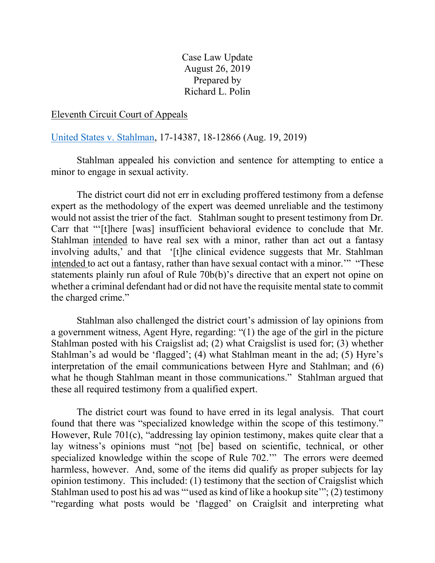Case Law Update August 26, 2019 Prepared by Richard L. Polin

## Eleventh Circuit Court of Appeals

[United States v. Stahlman,](http://media.ca11.uscourts.gov/opinions/pub/files/201714387.pdf) 17-14387, 18-12866 (Aug. 19, 2019)

Stahlman appealed his conviction and sentence for attempting to entice a minor to engage in sexual activity.

The district court did not err in excluding proffered testimony from a defense expert as the methodology of the expert was deemed unreliable and the testimony would not assist the trier of the fact. Stahlman sought to present testimony from Dr. Carr that "'[t]here [was] insufficient behavioral evidence to conclude that Mr. Stahlman intended to have real sex with a minor, rather than act out a fantasy involving adults,' and that '[t]he clinical evidence suggests that Mr. Stahlman intended to act out a fantasy, rather than have sexual contact with a minor.'" "These statements plainly run afoul of Rule 70b(b)'s directive that an expert not opine on whether a criminal defendant had or did not have the requisite mental state to commit the charged crime."

Stahlman also challenged the district court's admission of lay opinions from a government witness, Agent Hyre, regarding: "(1) the age of the girl in the picture Stahlman posted with his Craigslist ad; (2) what Craigslist is used for; (3) whether Stahlman's ad would be 'flagged'; (4) what Stahlman meant in the ad; (5) Hyre's interpretation of the email communications between Hyre and Stahlman; and (6) what he though Stahlman meant in those communications." Stahlman argued that these all required testimony from a qualified expert.

The district court was found to have erred in its legal analysis. That court found that there was "specialized knowledge within the scope of this testimony." However, Rule 701(c), "addressing lay opinion testimony, makes quite clear that a lay witness's opinions must "not [be] based on scientific, technical, or other specialized knowledge within the scope of Rule 702.'" The errors were deemed harmless, however. And, some of the items did qualify as proper subjects for lay opinion testimony. This included: (1) testimony that the section of Craigslist which Stahlman used to post his ad was "'used as kind of like a hookup site'"; (2) testimony "regarding what posts would be 'flagged' on Craiglsit and interpreting what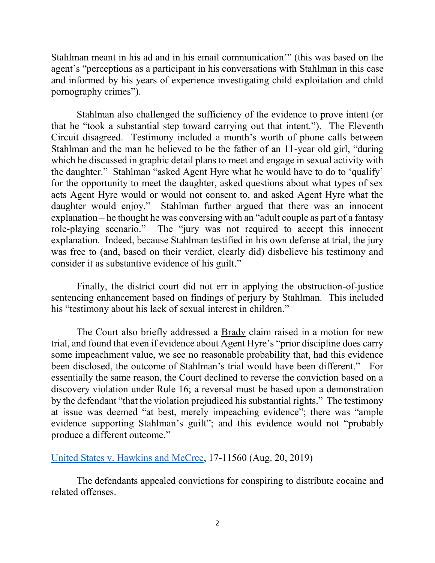Stahlman meant in his ad and in his email communication'" (this was based on the agent's "perceptions as a participant in his conversations with Stahlman in this case and informed by his years of experience investigating child exploitation and child pornography crimes").

Stahlman also challenged the sufficiency of the evidence to prove intent (or that he "took a substantial step toward carrying out that intent."). The Eleventh Circuit disagreed. Testimony included a month's worth of phone calls between Stahlman and the man he believed to be the father of an 11-year old girl, "during which he discussed in graphic detail plans to meet and engage in sexual activity with the daughter." Stahlman "asked Agent Hyre what he would have to do to 'qualify' for the opportunity to meet the daughter, asked questions about what types of sex acts Agent Hyre would or would not consent to, and asked Agent Hyre what the daughter would enjoy." Stahlman further argued that there was an innocent explanation – he thought he was conversing with an "adult couple as part of a fantasy role-playing scenario." The "jury was not required to accept this innocent explanation. Indeed, because Stahlman testified in his own defense at trial, the jury was free to (and, based on their verdict, clearly did) disbelieve his testimony and consider it as substantive evidence of his guilt."

Finally, the district court did not err in applying the obstruction-of-justice sentencing enhancement based on findings of perjury by Stahlman. This included his "testimony about his lack of sexual interest in children."

The Court also briefly addressed a Brady claim raised in a motion for new trial, and found that even if evidence about Agent Hyre's "prior discipline does carry some impeachment value, we see no reasonable probability that, had this evidence been disclosed, the outcome of Stahlman's trial would have been different." For essentially the same reason, the Court declined to reverse the conviction based on a discovery violation under Rule 16; a reversal must be based upon a demonstration by the defendant "that the violation prejudiced his substantial rights." The testimony at issue was deemed "at best, merely impeaching evidence"; there was "ample evidence supporting Stahlman's guilt"; and this evidence would not "probably produce a different outcome."

[United States v. Hawkins and McCree,](http://media.ca11.uscourts.gov/opinions/pub/files/201711560.pdf) 17-11560 (Aug. 20, 2019)

The defendants appealed convictions for conspiring to distribute cocaine and related offenses.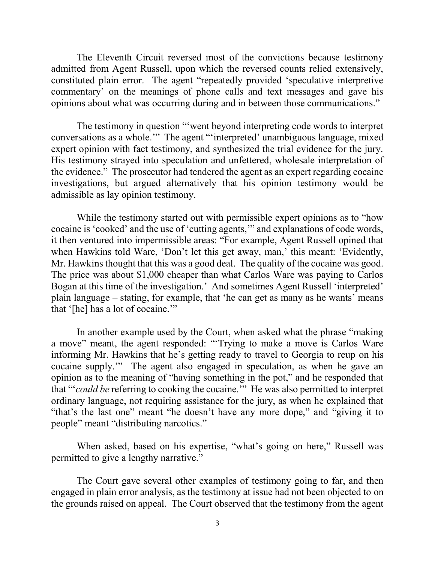The Eleventh Circuit reversed most of the convictions because testimony admitted from Agent Russell, upon which the reversed counts relied extensively, constituted plain error. The agent "repeatedly provided 'speculative interpretive commentary' on the meanings of phone calls and text messages and gave his opinions about what was occurring during and in between those communications."

The testimony in question "'went beyond interpreting code words to interpret conversations as a whole.'" The agent "'interpreted' unambiguous language, mixed expert opinion with fact testimony, and synthesized the trial evidence for the jury. His testimony strayed into speculation and unfettered, wholesale interpretation of the evidence." The prosecutor had tendered the agent as an expert regarding cocaine investigations, but argued alternatively that his opinion testimony would be admissible as lay opinion testimony.

While the testimony started out with permissible expert opinions as to "how cocaine is 'cooked' and the use of 'cutting agents,'" and explanations of code words, it then ventured into impermissible areas: "For example, Agent Russell opined that when Hawkins told Ware, 'Don't let this get away, man,' this meant: 'Evidently, Mr. Hawkins thought that this was a good deal. The quality of the cocaine was good. The price was about \$1,000 cheaper than what Carlos Ware was paying to Carlos Bogan at this time of the investigation.' And sometimes Agent Russell 'interpreted' plain language – stating, for example, that 'he can get as many as he wants' means that '[he] has a lot of cocaine.'"

In another example used by the Court, when asked what the phrase "making a move" meant, the agent responded: "'Trying to make a move is Carlos Ware informing Mr. Hawkins that he's getting ready to travel to Georgia to reup on his cocaine supply.'" The agent also engaged in speculation, as when he gave an opinion as to the meaning of "having something in the pot," and he responded that that "'*could be* referring to cooking the cocaine.'" He was also permitted to interpret ordinary language, not requiring assistance for the jury, as when he explained that "that's the last one" meant "he doesn't have any more dope," and "giving it to people" meant "distributing narcotics."

When asked, based on his expertise, "what's going on here," Russell was permitted to give a lengthy narrative."

The Court gave several other examples of testimony going to far, and then engaged in plain error analysis, as the testimony at issue had not been objected to on the grounds raised on appeal. The Court observed that the testimony from the agent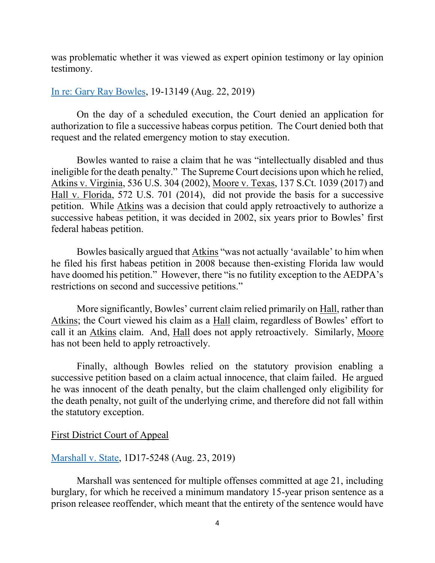was problematic whether it was viewed as expert opinion testimony or lay opinion testimony.

## [In re: Gary Ray Bowles,](http://media.ca11.uscourts.gov/opinions/pub/files/201913149.ord.pdf) 19-13149 (Aug. 22, 2019)

On the day of a scheduled execution, the Court denied an application for authorization to file a successive habeas corpus petition. The Court denied both that request and the related emergency motion to stay execution.

Bowles wanted to raise a claim that he was "intellectually disabled and thus ineligible for the death penalty." The Supreme Court decisions upon which he relied, Atkins v. Virginia, 536 U.S. 304 (2002), Moore v. Texas, 137 S.Ct. 1039 (2017) and Hall v. Florida, 572 U.S. 701 (2014), did not provide the basis for a successive petition. While Atkins was a decision that could apply retroactively to authorize a successive habeas petition, it was decided in 2002, six years prior to Bowles' first federal habeas petition.

Bowles basically argued that Atkins "was not actually 'available' to him when he filed his first habeas petition in 2008 because then-existing Florida law would have doomed his petition." However, there "is no futility exception to the AEDPA's restrictions on second and successive petitions."

More significantly, Bowles' current claim relied primarily on Hall, rather than Atkins; the Court viewed his claim as a Hall claim, regardless of Bowles' effort to call it an Atkins claim. And, Hall does not apply retroactively. Similarly, Moore has not been held to apply retroactively.

Finally, although Bowles relied on the statutory provision enabling a successive petition based on a claim actual innocence, that claim failed. He argued he was innocent of the death penalty, but the claim challenged only eligibility for the death penalty, not guilt of the underlying crime, and therefore did not fall within the statutory exception.

First District Court of Appeal

# [Marshall v. State,](https://www.1dca.org/content/download/535581/5948188/file/175248_1284_08232019_01392070_i.pdf) 1D17-5248 (Aug. 23, 2019)

Marshall was sentenced for multiple offenses committed at age 21, including burglary, for which he received a minimum mandatory 15-year prison sentence as a prison releasee reoffender, which meant that the entirety of the sentence would have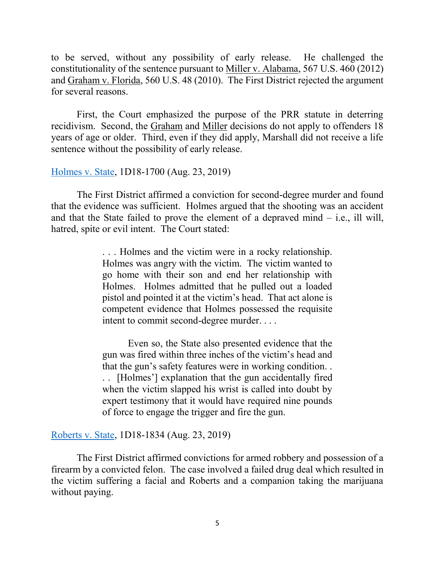to be served, without any possibility of early release. He challenged the constitutionality of the sentence pursuant to Miller v. Alabama, 567 U.S. 460 (2012) and Graham v. Florida, 560 U.S. 48 (2010). The First District rejected the argument for several reasons.

First, the Court emphasized the purpose of the PRR statute in deterring recidivism. Second, the Graham and Miller decisions do not apply to offenders 18 years of age or older. Third, even if they did apply, Marshall did not receive a life sentence without the possibility of early release.

### [Holmes v. State,](https://www.1dca.org/content/download/535585/5948224/file/181700_1284_08232019_01415498_i.pdf) 1D18-1700 (Aug. 23, 2019)

The First District affirmed a conviction for second-degree murder and found that the evidence was sufficient. Holmes argued that the shooting was an accident and that the State failed to prove the element of a depraved mind – i.e., ill will, hatred, spite or evil intent. The Court stated:

> . . . Holmes and the victim were in a rocky relationship. Holmes was angry with the victim. The victim wanted to go home with their son and end her relationship with Holmes. Holmes admitted that he pulled out a loaded pistol and pointed it at the victim's head. That act alone is competent evidence that Holmes possessed the requisite intent to commit second-degree murder. . . .

> Even so, the State also presented evidence that the gun was fired within three inches of the victim's head and that the gun's safety features were in working condition. . . . [Holmes'] explanation that the gun accidentally fired when the victim slapped his wrist is called into doubt by expert testimony that it would have required nine pounds of force to engage the trigger and fire the gun.

### [Roberts v. State,](https://www.1dca.org/content/download/535586/5948236/file/181834_1284_08232019_01430446_i.pdf) 1D18-1834 (Aug. 23, 2019)

The First District affirmed convictions for armed robbery and possession of a firearm by a convicted felon. The case involved a failed drug deal which resulted in the victim suffering a facial and Roberts and a companion taking the marijuana without paying.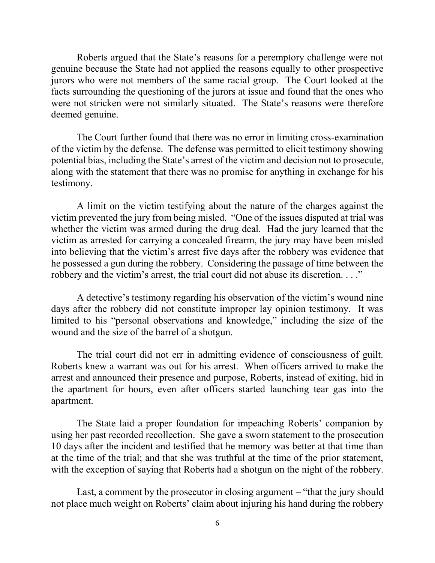Roberts argued that the State's reasons for a peremptory challenge were not genuine because the State had not applied the reasons equally to other prospective jurors who were not members of the same racial group. The Court looked at the facts surrounding the questioning of the jurors at issue and found that the ones who were not stricken were not similarly situated. The State's reasons were therefore deemed genuine.

The Court further found that there was no error in limiting cross-examination of the victim by the defense. The defense was permitted to elicit testimony showing potential bias, including the State's arrest of the victim and decision not to prosecute, along with the statement that there was no promise for anything in exchange for his testimony.

A limit on the victim testifying about the nature of the charges against the victim prevented the jury from being misled. "One of the issues disputed at trial was whether the victim was armed during the drug deal. Had the jury learned that the victim as arrested for carrying a concealed firearm, the jury may have been misled into believing that the victim's arrest five days after the robbery was evidence that he possessed a gun during the robbery. Considering the passage of time between the robbery and the victim's arrest, the trial court did not abuse its discretion. . . ."

A detective's testimony regarding his observation of the victim's wound nine days after the robbery did not constitute improper lay opinion testimony. It was limited to his "personal observations and knowledge," including the size of the wound and the size of the barrel of a shotgun.

The trial court did not err in admitting evidence of consciousness of guilt. Roberts knew a warrant was out for his arrest. When officers arrived to make the arrest and announced their presence and purpose, Roberts, instead of exiting, hid in the apartment for hours, even after officers started launching tear gas into the apartment.

The State laid a proper foundation for impeaching Roberts' companion by using her past recorded recollection. She gave a sworn statement to the prosecution 10 days after the incident and testified that he memory was better at that time than at the time of the trial; and that she was truthful at the time of the prior statement, with the exception of saying that Roberts had a shotgun on the night of the robbery.

Last, a comment by the prosecutor in closing argument – "that the jury should not place much weight on Roberts' claim about injuring his hand during the robbery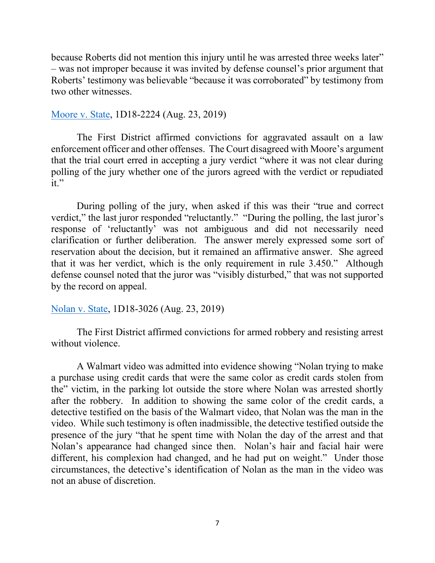because Roberts did not mention this injury until he was arrested three weeks later" – was not improper because it was invited by defense counsel's prior argument that Roberts' testimony was believable "because it was corroborated" by testimony from two other witnesses.

#### [Moore v. State,](https://www.1dca.org/content/download/535587/5948248/file/182224_1284_08232019_01442502_i.pdf) 1D18-2224 (Aug. 23, 2019)

The First District affirmed convictions for aggravated assault on a law enforcement officer and other offenses. The Court disagreed with Moore's argument that the trial court erred in accepting a jury verdict "where it was not clear during polling of the jury whether one of the jurors agreed with the verdict or repudiated it."

During polling of the jury, when asked if this was their "true and correct verdict," the last juror responded "reluctantly." "During the polling, the last juror's response of 'reluctantly' was not ambiguous and did not necessarily need clarification or further deliberation. The answer merely expressed some sort of reservation about the decision, but it remained an affirmative answer. She agreed that it was her verdict, which is the only requirement in rule 3.450." Although defense counsel noted that the juror was "visibly disturbed," that was not supported by the record on appeal.

## [Nolan v. State,](https://www.1dca.org/content/download/535589/5948272/file/183026_1284_08232019_01465057_i.pdf) 1D18-3026 (Aug. 23, 2019)

The First District affirmed convictions for armed robbery and resisting arrest without violence.

A Walmart video was admitted into evidence showing "Nolan trying to make a purchase using credit cards that were the same color as credit cards stolen from the" victim, in the parking lot outside the store where Nolan was arrested shortly after the robbery. In addition to showing the same color of the credit cards, a detective testified on the basis of the Walmart video, that Nolan was the man in the video. While such testimony is often inadmissible, the detective testified outside the presence of the jury "that he spent time with Nolan the day of the arrest and that Nolan's appearance had changed since then. Nolan's hair and facial hair were different, his complexion had changed, and he had put on weight." Under those circumstances, the detective's identification of Nolan as the man in the video was not an abuse of discretion.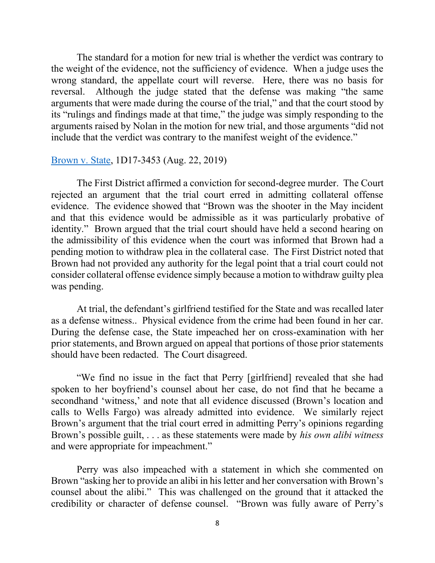The standard for a motion for new trial is whether the verdict was contrary to the weight of the evidence, not the sufficiency of evidence. When a judge uses the wrong standard, the appellate court will reverse. Here, there was no basis for reversal. Although the judge stated that the defense was making "the same arguments that were made during the course of the trial," and that the court stood by its "rulings and findings made at that time," the judge was simply responding to the arguments raised by Nolan in the motion for new trial, and those arguments "did not include that the verdict was contrary to the manifest weight of the evidence."

### [Brown v. State,](https://www.1dca.org/content/download/535594/5948332/file/184888_1284_08232019_01575151_i.pdf) 1D17-3453 (Aug. 22, 2019)

The First District affirmed a conviction for second-degree murder. The Court rejected an argument that the trial court erred in admitting collateral offense evidence. The evidence showed that "Brown was the shooter in the May incident and that this evidence would be admissible as it was particularly probative of identity." Brown argued that the trial court should have held a second hearing on the admissibility of this evidence when the court was informed that Brown had a pending motion to withdraw plea in the collateral case. The First District noted that Brown had not provided any authority for the legal point that a trial court could not consider collateral offense evidence simply because a motion to withdraw guilty plea was pending.

At trial, the defendant's girlfriend testified for the State and was recalled later as a defense witness.. Physical evidence from the crime had been found in her car. During the defense case, the State impeached her on cross-examination with her prior statements, and Brown argued on appeal that portions of those prior statements should have been redacted. The Court disagreed.

"We find no issue in the fact that Perry [girlfriend] revealed that she had spoken to her boyfriend's counsel about her case, do not find that he became a secondhand 'witness,' and note that all evidence discussed (Brown's location and calls to Wells Fargo) was already admitted into evidence. We similarly reject Brown's argument that the trial court erred in admitting Perry's opinions regarding Brown's possible guilt, . . . as these statements were made by *his own alibi witness* and were appropriate for impeachment."

Perry was also impeached with a statement in which she commented on Brown "asking her to provide an alibi in his letter and her conversation with Brown's counsel about the alibi." This was challenged on the ground that it attacked the credibility or character of defense counsel. "Brown was fully aware of Perry's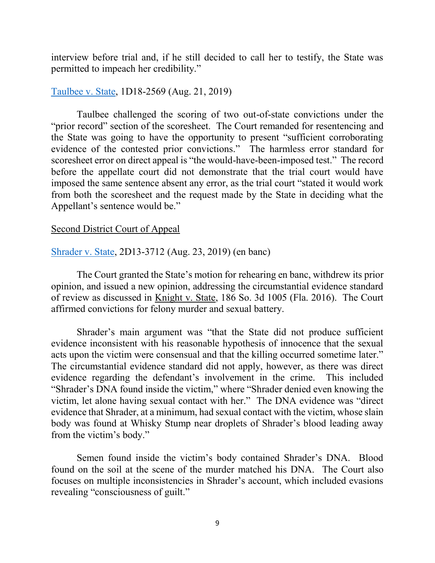interview before trial and, if he still decided to call her to testify, the State was permitted to impeach her credibility."

### [Taulbee v. State,](https://www.1dca.org/content/download/535373/5945687/file/182569_1287_08212019_09065600_i.pdf) 1D18-2569 (Aug. 21, 2019)

Taulbee challenged the scoring of two out-of-state convictions under the "prior record" section of the scoresheet. The Court remanded for resentencing and the State was going to have the opportunity to present "sufficient corroborating evidence of the contested prior convictions." The harmless error standard for scoresheet error on direct appeal is "the would-have-been-imposed test." The record before the appellate court did not demonstrate that the trial court would have imposed the same sentence absent any error, as the trial court "stated it would work from both the scoresheet and the request made by the State in deciding what the Appellant's sentence would be."

#### Second District Court of Appeal

### [Shrader v. State,](https://www.2dca.org/content/download/535539/5947684/file/132712_65_08232019_08295919_i.pdf) 2D13-3712 (Aug. 23, 2019) (en banc)

The Court granted the State's motion for rehearing en banc, withdrew its prior opinion, and issued a new opinion, addressing the circumstantial evidence standard of review as discussed in Knight v. State, 186 So. 3d 1005 (Fla. 2016). The Court affirmed convictions for felony murder and sexual battery.

Shrader's main argument was "that the State did not produce sufficient evidence inconsistent with his reasonable hypothesis of innocence that the sexual acts upon the victim were consensual and that the killing occurred sometime later." The circumstantial evidence standard did not apply, however, as there was direct evidence regarding the defendant's involvement in the crime. This included "Shrader's DNA found inside the victim," where "Shrader denied even knowing the victim, let alone having sexual contact with her." The DNA evidence was "direct evidence that Shrader, at a minimum, had sexual contact with the victim, whose slain body was found at Whisky Stump near droplets of Shrader's blood leading away from the victim's body."

Semen found inside the victim's body contained Shrader's DNA. Blood found on the soil at the scene of the murder matched his DNA. The Court also focuses on multiple inconsistencies in Shrader's account, which included evasions revealing "consciousness of guilt."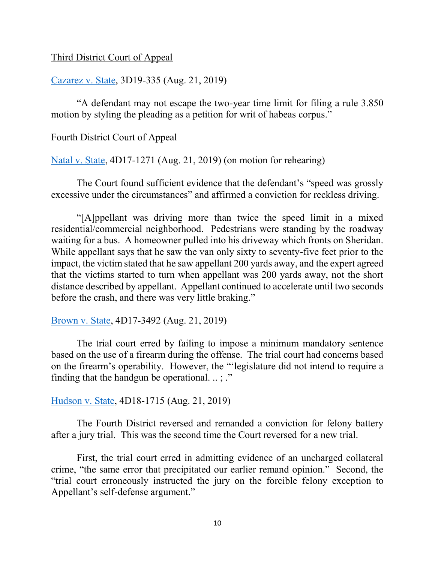### Third District Court of Appeal

## [Cazarez v. State,](https://www.3dca.flcourts.org/content/download/535395/5945963/file/3D19-0335.co.pdf) 3D19-335 (Aug. 21, 2019)

"A defendant may not escape the two-year time limit for filing a rule 3.850 motion by styling the pleading as a petition for writ of habeas corpus."

#### Fourth District Court of Appeal

[Natal v. State,](https://www.4dca.org/content/download/535376/5945729/file/171271_1257_08212019_08562095_i.pdf) 4D17-1271 (Aug. 21, 2019) (on motion for rehearing)

The Court found sufficient evidence that the defendant's "speed was grossly excessive under the circumstances" and affirmed a conviction for reckless driving.

"[A]ppellant was driving more than twice the speed limit in a mixed residential/commercial neighborhood. Pedestrians were standing by the roadway waiting for a bus. A homeowner pulled into his driveway which fronts on Sheridan. While appellant says that he saw the van only sixty to seventy-five feet prior to the impact, the victim stated that he saw appellant 200 yards away, and the expert agreed that the victims started to turn when appellant was 200 yards away, not the short distance described by appellant. Appellant continued to accelerate until two seconds before the crash, and there was very little braking."

[Brown v. State,](https://www.4dca.org/content/download/535377/5945741/file/173492_1708_08212019_09015444_i.pdf) 4D17-3492 (Aug. 21, 2019)

The trial court erred by failing to impose a minimum mandatory sentence based on the use of a firearm during the offense. The trial court had concerns based on the firearm's operability. However, the "'legislature did not intend to require a finding that the handgun be operational.  $\ldots$ ; ."

[Hudson v. State,](https://www.4dca.org/content/download/535398/5945999/file/181715_1709_08212019_09000909_i.pdf) 4D18-1715 (Aug. 21, 2019)

The Fourth District reversed and remanded a conviction for felony battery after a jury trial. This was the second time the Court reversed for a new trial.

First, the trial court erred in admitting evidence of an uncharged collateral crime, "the same error that precipitated our earlier remand opinion." Second, the "trial court erroneously instructed the jury on the forcible felony exception to Appellant's self-defense argument."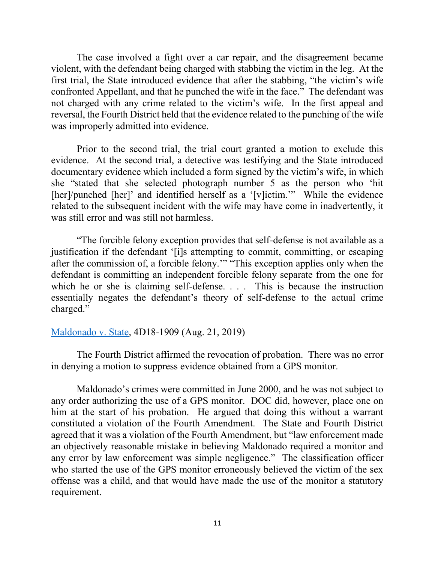The case involved a fight over a car repair, and the disagreement became violent, with the defendant being charged with stabbing the victim in the leg. At the first trial, the State introduced evidence that after the stabbing, "the victim's wife confronted Appellant, and that he punched the wife in the face." The defendant was not charged with any crime related to the victim's wife. In the first appeal and reversal, the Fourth District held that the evidence related to the punching of the wife was improperly admitted into evidence.

Prior to the second trial, the trial court granted a motion to exclude this evidence. At the second trial, a detective was testifying and the State introduced documentary evidence which included a form signed by the victim's wife, in which she "stated that she selected photograph number 5 as the person who 'hit [her]/punched [her]' and identified herself as a '[v]ictim."" While the evidence related to the subsequent incident with the wife may have come in inadvertently, it was still error and was still not harmless.

"The forcible felony exception provides that self-defense is not available as a justification if the defendant '[i]s attempting to commit, committing, or escaping after the commission of, a forcible felony.'" "This exception applies only when the defendant is committing an independent forcible felony separate from the one for which he or she is claiming self-defense. . . . This is because the instruction essentially negates the defendant's theory of self-defense to the actual crime charged."

### [Maldonado v. State,](https://www.4dca.org/content/download/535378/5945753/file/181909_1257_08212019_09041780_i.pdf) 4D18-1909 (Aug. 21, 2019)

The Fourth District affirmed the revocation of probation. There was no error in denying a motion to suppress evidence obtained from a GPS monitor.

Maldonado's crimes were committed in June 2000, and he was not subject to any order authorizing the use of a GPS monitor. DOC did, however, place one on him at the start of his probation. He argued that doing this without a warrant constituted a violation of the Fourth Amendment. The State and Fourth District agreed that it was a violation of the Fourth Amendment, but "law enforcement made an objectively reasonable mistake in believing Maldonado required a monitor and any error by law enforcement was simple negligence." The classification officer who started the use of the GPS monitor erroneously believed the victim of the sex offense was a child, and that would have made the use of the monitor a statutory requirement.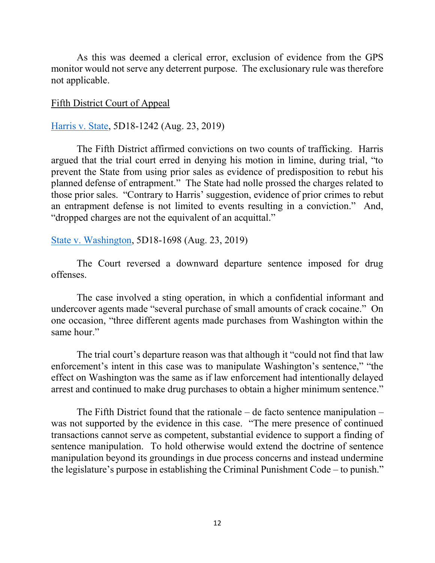As this was deemed a clerical error, exclusion of evidence from the GPS monitor would not serve any deterrent purpose. The exclusionary rule was therefore not applicable.

### Fifth District Court of Appeal

### [Harris v. State,](https://www.5dca.org/content/download/535513/5947390/file/181242_1257_08232019_08050065_i.pdf) 5D18-1242 (Aug. 23, 2019)

The Fifth District affirmed convictions on two counts of trafficking. Harris argued that the trial court erred in denying his motion in limine, during trial, "to prevent the State from using prior sales as evidence of predisposition to rebut his planned defense of entrapment." The State had nolle prossed the charges related to those prior sales. "Contrary to Harris' suggestion, evidence of prior crimes to rebut an entrapment defense is not limited to events resulting in a conviction." And, "dropped charges are not the equivalent of an acquittal."

### [State v. Washington,](https://www.5dca.org/content/download/535514/5947402/file/181698_1260_08232019_08085207_i.pdf) 5D18-1698 (Aug. 23, 2019)

The Court reversed a downward departure sentence imposed for drug offenses.

The case involved a sting operation, in which a confidential informant and undercover agents made "several purchase of small amounts of crack cocaine." On one occasion, "three different agents made purchases from Washington within the same hour."

The trial court's departure reason was that although it "could not find that law enforcement's intent in this case was to manipulate Washington's sentence," "the effect on Washington was the same as if law enforcement had intentionally delayed arrest and continued to make drug purchases to obtain a higher minimum sentence."

The Fifth District found that the rationale – de facto sentence manipulation – was not supported by the evidence in this case. "The mere presence of continued transactions cannot serve as competent, substantial evidence to support a finding of sentence manipulation. To hold otherwise would extend the doctrine of sentence manipulation beyond its groundings in due process concerns and instead undermine the legislature's purpose in establishing the Criminal Punishment Code – to punish."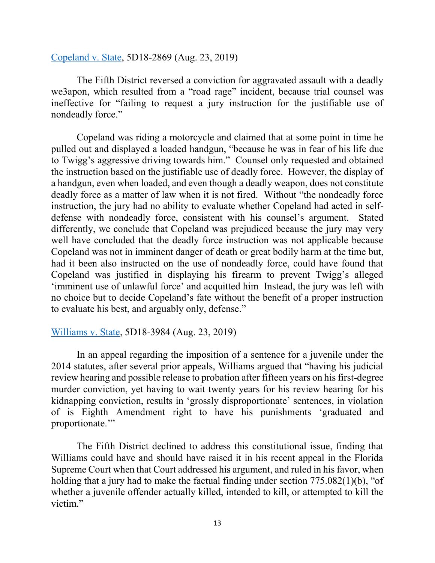### [Copeland v. State,](https://www.5dca.org/content/download/535518/5947450/file/182869_1260_08232019_08253081_i.pdf) 5D18-2869 (Aug. 23, 2019)

The Fifth District reversed a conviction for aggravated assault with a deadly we3apon, which resulted from a "road rage" incident, because trial counsel was ineffective for "failing to request a jury instruction for the justifiable use of nondeadly force."

Copeland was riding a motorcycle and claimed that at some point in time he pulled out and displayed a loaded handgun, "because he was in fear of his life due to Twigg's aggressive driving towards him." Counsel only requested and obtained the instruction based on the justifiable use of deadly force. However, the display of a handgun, even when loaded, and even though a deadly weapon, does not constitute deadly force as a matter of law when it is not fired. Without "the nondeadly force instruction, the jury had no ability to evaluate whether Copeland had acted in selfdefense with nondeadly force, consistent with his counsel's argument. Stated differently, we conclude that Copeland was prejudiced because the jury may very well have concluded that the deadly force instruction was not applicable because Copeland was not in imminent danger of death or great bodily harm at the time but, had it been also instructed on the use of nondeadly force, could have found that Copeland was justified in displaying his firearm to prevent Twigg's alleged 'imminent use of unlawful force' and acquitted him Instead, the jury was left with no choice but to decide Copeland's fate without the benefit of a proper instruction to evaluate his best, and arguably only, defense."

# [Williams v. State,](https://www.5dca.org/content/download/535521/5947486/file/183984_1257_08232019_08564996_i.pdf) 5D18-3984 (Aug. 23, 2019)

In an appeal regarding the imposition of a sentence for a juvenile under the 2014 statutes, after several prior appeals, Williams argued that "having his judicial review hearing and possible release to probation after fifteen years on his first-degree murder conviction, yet having to wait twenty years for his review hearing for his kidnapping conviction, results in 'grossly disproportionate' sentences, in violation of is Eighth Amendment right to have his punishments 'graduated and proportionate.'"

The Fifth District declined to address this constitutional issue, finding that Williams could have and should have raised it in his recent appeal in the Florida Supreme Court when that Court addressed his argument, and ruled in his favor, when holding that a jury had to make the factual finding under section 775.082(1)(b), "of whether a juvenile offender actually killed, intended to kill, or attempted to kill the victim."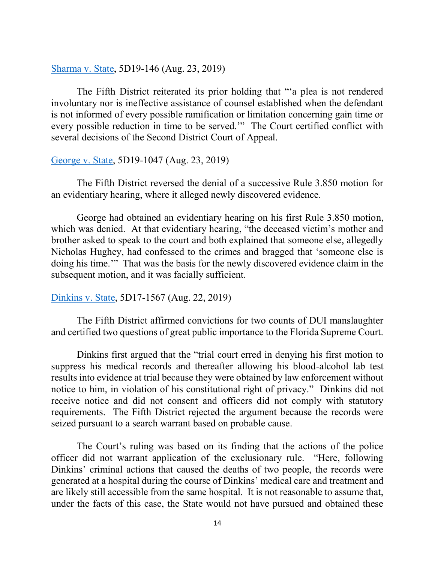[Sharma v. State,](https://www.5dca.org/content/download/535522/5947498/file/190146_1257_08232019_08585020_i.pdf) 5D19-146 (Aug. 23, 2019)

The Fifth District reiterated its prior holding that "'a plea is not rendered involuntary nor is ineffective assistance of counsel established when the defendant is not informed of every possible ramification or limitation concerning gain time or every possible reduction in time to be served.'" The Court certified conflict with several decisions of the Second District Court of Appeal.

### [George v. State,](https://www.5dca.org/content/download/535524/5947522/file/191047_1260_08232019_09052961_i.pdf) 5D19-1047 (Aug. 23, 2019)

The Fifth District reversed the denial of a successive Rule 3.850 motion for an evidentiary hearing, where it alleged newly discovered evidence.

George had obtained an evidentiary hearing on his first Rule 3.850 motion, which was denied. At that evidentiary hearing, "the deceased victim's mother and brother asked to speak to the court and both explained that someone else, allegedly Nicholas Hughey, had confessed to the crimes and bragged that 'someone else is doing his time.'" That was the basis for the newly discovered evidence claim in the subsequent motion, and it was facially sufficient.

## [Dinkins v. State,](https://www.5dca.org/content/download/535491/5947135/file/171567_1257_08222019_01255599_i.pdf) 5D17-1567 (Aug. 22, 2019)

The Fifth District affirmed convictions for two counts of DUI manslaughter and certified two questions of great public importance to the Florida Supreme Court.

Dinkins first argued that the "trial court erred in denying his first motion to suppress his medical records and thereafter allowing his blood-alcohol lab test results into evidence at trial because they were obtained by law enforcement without notice to him, in violation of his constitutional right of privacy." Dinkins did not receive notice and did not consent and officers did not comply with statutory requirements. The Fifth District rejected the argument because the records were seized pursuant to a search warrant based on probable cause.

The Court's ruling was based on its finding that the actions of the police officer did not warrant application of the exclusionary rule. "Here, following Dinkins' criminal actions that caused the deaths of two people, the records were generated at a hospital during the course of Dinkins' medical care and treatment and are likely still accessible from the same hospital. It is not reasonable to assume that, under the facts of this case, the State would not have pursued and obtained these